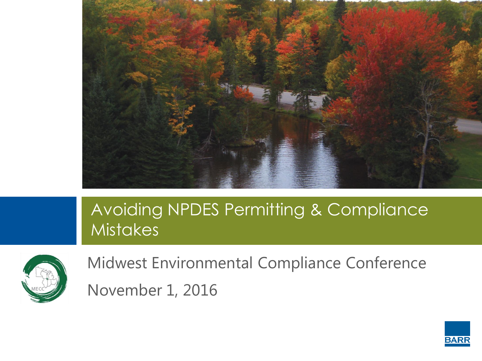

#### Avoiding NPDES Permitting & Compliance **Mistakes**



Midwest Environmental Compliance Conference November 1, 2016

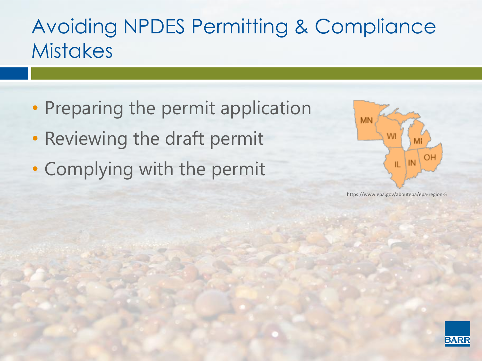#### Avoiding NPDES Permitting & Compliance **Mistakes**

- Preparing the permit application
- Reviewing the draft permit
- Complying with the permit



https://www.epa.gov/aboutepa/epa-region-5

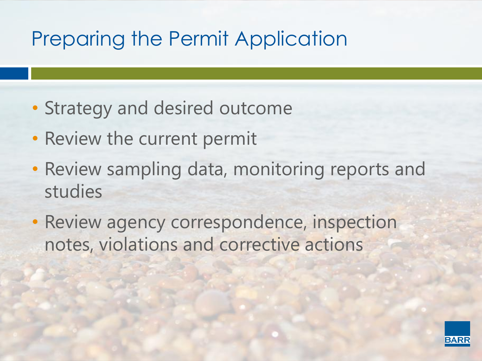## Preparing the Permit Application

- Strategy and desired outcome
- Review the current permit
- Review sampling data, monitoring reports and studies
- Review agency correspondence, inspection notes, violations and corrective actions

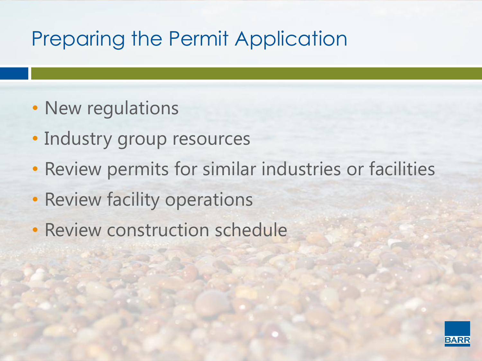### Preparing the Permit Application

- New regulations
- Industry group resources
- Review permits for similar industries or facilities
- Review facility operations
- Review construction schedule

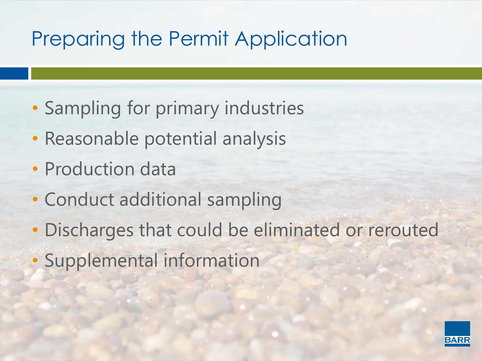# Preparing the Permit Application

- Sampling for primary industries
- Reasonable potential analysis
- Production data
- Conduct additional sampling
- Discharges that could be eliminated or rerouted
- Supplemental information

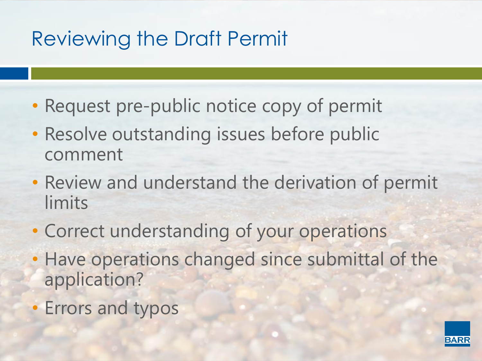## Reviewing the Draft Permit

- Request pre-public notice copy of permit
- Resolve outstanding issues before public comment
- Review and understand the derivation of permit limits
- Correct understanding of your operations
- Have operations changed since submittal of the application?
- Errors and typos

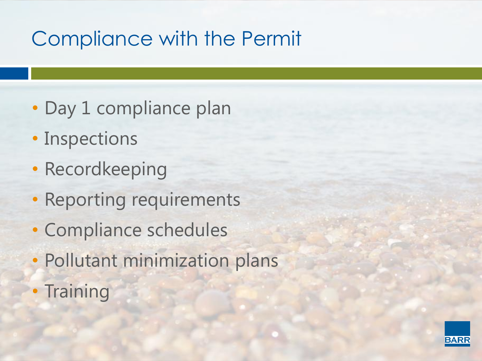# Compliance with the Permit

- Day 1 compliance plan
- Inspections
- Recordkeeping
- Reporting requirements
- Compliance schedules
- Pollutant minimization plans
- Training

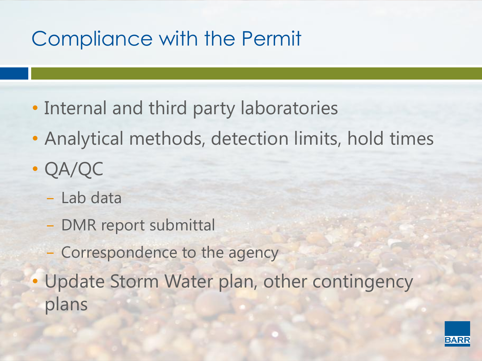# Compliance with the Permit

- Internal and third party laboratories
- Analytical methods, detection limits, hold times
- QA/QC
	- − Lab data
	- − DMR report submittal
	- − Correspondence to the agency
- Update Storm Water plan, other contingency plans

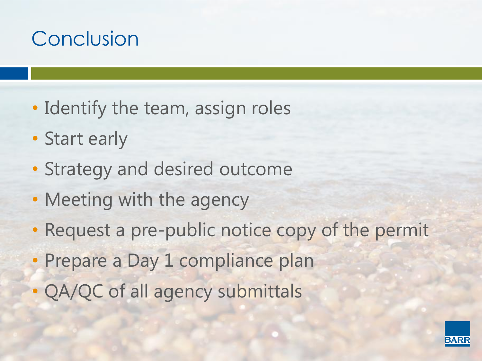# Conclusion

- Identify the team, assign roles
- Start early
- Strategy and desired outcome
- Meeting with the agency
- Request a pre-public notice copy of the permit
- Prepare a Day 1 compliance plan
- QA/QC of all agency submittals